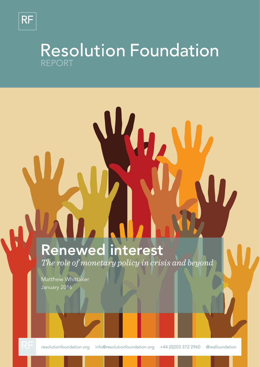

## **Resolution Foundation** REPORT

 $\overline{\mathbf{h}}$ 

# Renewed interest

*The role of monetary policy in crisis and beyond*

Matthew Whittaker January 2016

resolutionfoundation.org info@resolutionfoundation.org +44 (0)203 372 2960 @resfoundation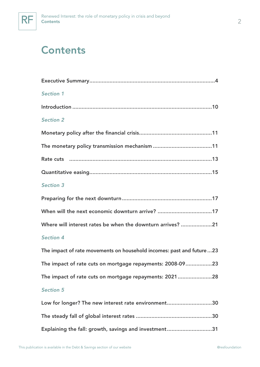

## **Contents**

| <b>Section 1</b>                                                       |
|------------------------------------------------------------------------|
|                                                                        |
| <b>Section 2</b>                                                       |
|                                                                        |
|                                                                        |
|                                                                        |
|                                                                        |
| <b>Section 3</b>                                                       |
|                                                                        |
| When will the next economic downturn arrive? 17                        |
| Where will interest rates be when the downturn arrives? 21             |
| <b>Section 4</b>                                                       |
| The impact of rate movements on household incomes: past and future  23 |
| The impact of rate cuts on mortgage repayments: 2008-0923              |
| The impact of rate cuts on mortgage repayments: 202128                 |
| <b>Section 5</b>                                                       |
| Low for longer? The new interest rate environment30                    |
|                                                                        |
| Explaining the fall: growth, savings and investment31                  |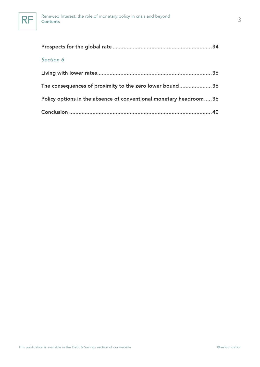

| <b>Section 6</b>                                                  |  |
|-------------------------------------------------------------------|--|
|                                                                   |  |
| The consequences of proximity to the zero lower bound36           |  |
| Policy options in the absence of conventional monetary headroom36 |  |
|                                                                   |  |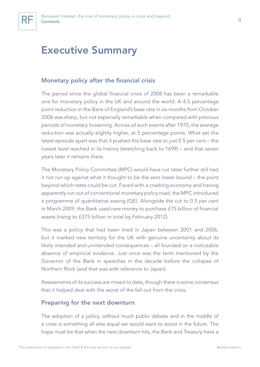<span id="page-3-0"></span>

## Executive Summary

### Monetary policy after the financial crisis

The period since the global financial crisis of 2008 has been a remarkable one for monetary policy in the UK and around the world. A 4.5 percentage point reduction in the Bank of England's base rate in six months from October 2008 was sharp, but not especially remarkable when compared with previous periods of monetary loosening. Across all such events after 1970, the average reduction was actually slightly higher, at 5 percentage points. What set the latest episode apart was that it pushed the base rate to just 0.5 per cent – the lowest level reached in its history (stretching back to 1699) – and that seven years later it remains there.

The Monetary Policy Committee (MPC) would have cut rates further still had it not run up against what it thought to be the zero lower bound – the point beyond which rates could be cut. Faced with a crashing economy and having apparently run out of conventional monetary policy road, the MPC introduced a programme of quantitative easing (QE). Alongside the cut to 0.5 per cent in March 2009, the Bank used new money to purchase £75 billion of financial assets (rising to £375 billion in total by February 2012).

This was a policy that had been tried in Japan between 2001 and 2006, but it marked new territory for the UK with genuine uncertainty about its likely intended and unintended consequences – all founded on a noticeable absence of empirical evidence. Just once was the term mentioned by the Governor of the Bank in speeches in the decade before the collapse of Northern Rock (and that was with reference to Japan).

Assessments of its success are mixed to date, though there is some consensus that it helped deal with the worst of the fall-out from the crisis.

## Preparing for the next downturn

The adoption of a policy, without much public debate and in the middle of a crisis is something all else equal we would want to avoid in the future. The hope must be that when the next downturn hits, the Bank and Treasury have a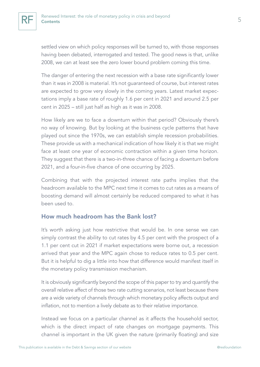

settled view on which policy responses will be turned to, with those responses having been debated, interrogated and tested. The good news is that, unlike 2008, we can at least see the zero lower bound problem coming this time.

The danger of entering the next recession with a base rate significantly lower than it was in 2008 is material. It's not guaranteed of course, but interest rates are expected to grow very slowly in the coming years. Latest market expectations imply a base rate of roughly 1.6 per cent in 2021 and around 2.5 per cent in 2025 – still just half as high as it was in 2008.

How likely are we to face a downturn within that period? Obviously there's no way of knowing. But by looking at the business cycle patterns that have played out since the 1970s, we can establish simple recession probabilities. These provide us with a mechanical indication of how likely it is that we might face at least one year of economic contraction within a given time horizon. They suggest that there is a two-in-three chance of facing a downturn before 2021, and a four-in-five chance of one occurring by 2025.

Combining that with the projected interest rate paths implies that the headroom available to the MPC next time it comes to cut rates as a means of boosting demand will almost certainly be reduced compared to what it has been used to.

### How much headroom has the Bank lost?

It's worth asking just how restrictive that would be. In one sense we can simply contrast the ability to cut rates by 4.5 per cent with the prospect of a 1.1 per cent cut in 2021 if market expectations were borne out, a recession arrived that year and the MPC again chose to reduce rates to 0.5 per cent. But it is helpful to dig a little into how that difference would manifest itself in the monetary policy transmission mechanism.

It is obviously significantly beyond the scope of this paper to try and quantify the overall relative affect of those two rate cutting scenarios, not least because there are a wide variety of channels through which monetary policy affects output and inflation, not to mention a lively debate as to their relative importance.

Instead we focus on a particular channel as it affects the household sector, which is the direct impact of rate changes on mortgage payments. This channel is important in the UK given the nature (primarily floating) and size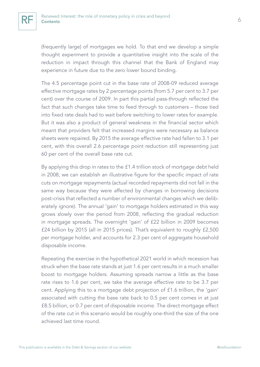

(frequently large) of mortgages we hold. To that end we develop a simple thought experiment to provide a quantitative insight into the scale of the reduction in impact through this channel that the Bank of England may experience in future due to the zero lower bound binding.

The 4.5 percentage point cut in the base rate of 2008-09 reduced average effective mortgage rates by 2 percentage points (from 5.7 per cent to 3.7 per cent) over the course of 2009. In part this partial pass-through reflected the fact that such changes take time to feed through to customers – those tied into fixed rate deals had to wait before switching to lower rates for example. But it was also a product of general weakness in the financial sector which meant that providers felt that increased margins were necessary as balance sheets were repaired. By 2015 the average effective rate had fallen to 3.1 per cent, with this overall 2.6 percentage point reduction still representing just 60 per cent of the overall base rate cut.

By applying this drop in rates to the £1.4 trillion stock of mortgage debt held in 2008, we can establish an illustrative figure for the specific impact of rate cuts on mortgage repayments (actual recorded repayments did not fall in the same way because they were affected by changes in borrowing decisions post-crisis that reflected a number of environmental changes which we deliberately ignore). The annual 'gain' to mortgage holders estimated in this way grows slowly over the period from 2008, reflecting the gradual reduction in mortgage spreads. The overnight 'gain' of £22 billion in 2009 becomes £24 billion by 2015 (all in 2015 prices). That's equivalent to roughly £2,500 per mortgage holder, and accounts for 2.3 per cent of aggregate household disposable income.

Repeating the exercise in the hypothetical 2021 world in which recession has struck when the base rate stands at just 1.6 per cent results in a much smaller boost to mortgage holders. Assuming spreads narrow a little as the base rate rises to 1.6 per cent, we take the average effective rate to be 3.7 per cent. Applying this to a mortgage debt projection of £1.6 trillion, the 'gain' associated with cutting the base rate back to 0.5 per cent comes in at just £8.5 billion, or 0.7 per cent of disposable income. The direct mortgage effect of the rate cut in this scenario would be roughly one-third the size of the one achieved last time round.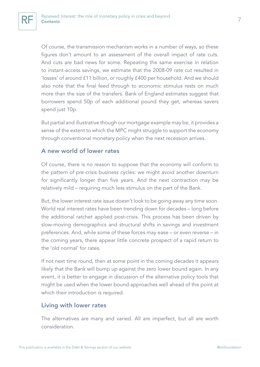

Of course, the transmission mechanism works in a number of ways, so these figures don't amount to an assessment of the overall impact of rate cuts. And cuts are bad news for some. Repeating the same exercise in relation to instant-access savings, we estimate that the 2008-09 rate cut resulted in 'losses' of around £11 billion, or roughly £400 per household. And we should also note that the final feed through to economic stimulus rests on much more than the size of the transfers. Bank of England estimates suggest that borrowers spend 50p of each additional pound they get, whereas savers spend just 10p.

But partial and illustrative though our mortgage example may be, it provides a sense of the extent to which the MPC might struggle to support the economy through conventional monetary policy when the next recession arrives.

### A new world of lower rates

Of course, there is no reason to suppose that the economy will conform to the pattern of pre-crisis business cycles: we might avoid another downturn for significantly longer than five years. And the next contraction may be relatively mild – requiring much less stimulus on the part of the Bank.

But, the lower interest rate issue doesn't look to be going away any time soon. World real interest rates have been trending down for decades – long before the additional ratchet applied post-crisis. This process has been driven by slow-moving demographics and structural shifts in savings and investment preferences. And, while some of these forces may ease – or even reverse – in the coming years, there appear little concrete prospect of a rapid return to the 'old normal' for rates.

If not next time round, then at some point in the coming decades it appears likely that the Bank will bump up against the zero lower bound again. In any event, it is better to engage in discussion of the alternative policy tools that might be used when the lower bound approaches well ahead of the point at which their introduction is required.

## Living with lower rates

The alternatives are many and varied. All are imperfect, but all are worth consideration.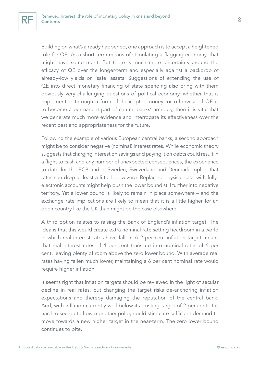

Building on what's already happened, one approach is to accept a heightened role for QE. As a short-term means of stimulating a flagging economy, that might have some merit. But there is much more uncertainty around the efficacy of QE over the longer-term and especially against a backdrop of already-low yields on 'safe' assets. Suggestions of extending the use of QE into direct monetary financing of state spending also bring with them obviously very challenging questions of political economy, whether that is implemented through a form of 'helicopter money' or otherwise. If QE is to become a permanent part of central banks' armoury, then it is vital that we generate much more evidence and interrogate its effectiveness over the recent past and appropriateness for the future.

Following the example of various European central banks, a second approach might be to consider negative (nominal) interest rates. While economic theory suggests that charging interest on savings and paying it on debts could result in a flight to cash and any number of unexpected consequences, the experience to date for the ECB and in Sweden, Switzerland and Denmark implies that rates can drop at least a little below zero. Replacing physical cash with fullyelectronic accounts might help push the lower bound still further into negative territory. Yet a lower bound is likely to remain in place somewhere – and the exchange rate implications are likely to mean that it is a little higher for an open country like the UK than might be the case elsewhere.

A third option relates to raising the Bank of England's inflation target. The idea is that this would create extra nominal rate setting headroom in a world in which real interest rates have fallen. A 2 per cent inflation target means that real interest rates of 4 per cent translate into nominal rates of 6 per cent, leaving plenty of room above the zero lower bound. With average real rates having fallen much lower, maintaining a 6 per cent nominal rate would require higher inflation.

It seems right that inflation targets should be reviewed in the light of secular decline in real rates, but changing the target risks de-anchoring inflation expectations and thereby damaging the reputation of the central bank. And, with inflation currently well-below its existing target of 2 per cent, it is hard to see quite how monetary policy could stimulate sufficient demand to move towards a new higher target in the near-term. The zero lower bound continues to bite.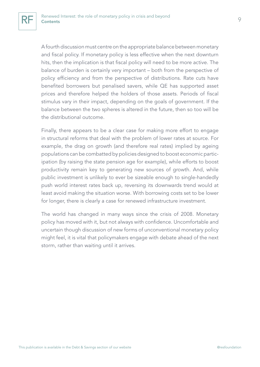

A fourth discussion must centre on the appropriate balance between monetary and fiscal policy. If monetary policy is less effective when the next downturn hits, then the implication is that fiscal policy will need to be more active. The balance of burden is certainly very important – both from the perspective of policy efficiency and from the perspective of distributions. Rate cuts have benefited borrowers but penalised savers, while QE has supported asset prices and therefore helped the holders of those assets. Periods of fiscal stimulus vary in their impact, depending on the goals of government. If the balance between the two spheres is altered in the future, then so too will be the distributional outcome.

Finally, there appears to be a clear case for making more effort to engage in structural reforms that deal with the problem of lower rates at source. For example, the drag on growth (and therefore real rates) implied by ageing populations can be combatted by policies designed to boost economic participation (by raising the state pension age for example), while efforts to boost productivity remain key to generating new sources of growth. And, while public investment is unlikely to ever be sizeable enough to single-handedly push world interest rates back up, reversing its downwards trend would at least avoid making the situation worse. With borrowing costs set to be lower for longer, there is clearly a case for renewed infrastructure investment.

The world has changed in many ways since the crisis of 2008. Monetary policy has moved with it, but not always with confidence. Uncomfortable and uncertain though discussion of new forms of unconventional monetary policy might feel, it is vital that policymakers engage with debate ahead of the next storm, rather than waiting until it arrives.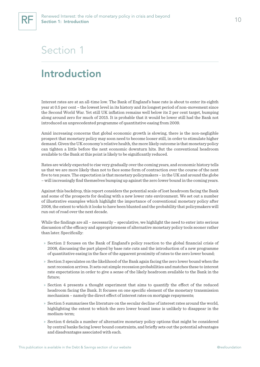## <span id="page-9-0"></span>Section 1

## Introduction

Interest rates are at an all-time low. The Bank of England's base rate is about to enter its eighth year at 0.5 per cent – the lowest level in its history and its longest period of non-movement since the Second World War. Yet still UK inflation remains well below its 2 per cent target, bumping along around zero for much of 2015. It is probable that it would be lower still had the Bank not introduced an unprecedented programme of quantitative easing from 2009.

Amid increasing concerns that global economic growth is slowing, there is the non-negligible prospect that monetary policy may soon need to become looser still, in order to stimulate higher demand. Given the UK economy's relative health, the more likely outcome is that monetary policy can tighten a little before the next economic downturn hits. But the conventional headroom available to the Bank at this point is likely to be significantly reduced.

Rates are widely expected to rise very gradually over the coming years, and economic history tells us that we are more likely than not to face some form of contraction over the course of the next five to ten years. The expectation is that monetary policymakers – in the UK and around the globe – will increasingly find themselves bumping up against the zero lower bound in the coming years.

Against this backdrop, this report considers the potential scale of lost headroom facing the Bank and some of the prospects for dealing with a new lower rate environment. We set out a number of illustrative examples which highlight the importance of conventional monetary policy after 2008, the extent to which it looks to have been blunted and the probability that policymakers will run out of road over the next decade.

While the findings are all – necessarily – speculative, we highlight the need to enter into serious discussion of the efficacy and appropriateness of alternative monetary policy tools sooner rather than later. Specifically:

- » Section 2 focuses on the Bank of England's policy reaction to the global financial crisis of 2008, discussing the part played by base rate cuts and the introduction of a new programme of quantitative easing in the face of the apparent proximity of rates to the zero lower bound;
- » Section 3 speculates on the likelihood of the Bank again facing the zero lower bound when the next recession arrives. It sets out simple recession probabilities and matches these to interest rate expectations in order to give a sense of the likely headroom available to the Bank in the future;
- » Section 4 presents a thought experiment that aims to quantify the effect of the reduced headroom facing the Bank. It focuses on one specific element of the monetary transmission mechanism – namely the direct effect of interest rates on mortgage repayments;
- » Section 5 summarises the literature on the secular decline of interest rates around the world, highlighting the extent to which the zero lower bound issue is unlikely to disappear in the medium-term;
- » Section 6 details a number of alternative monetary policy options that might be considered by central banks facing lower bound constraints, and briefly sets out the potential advantages and disadvantages associated with each.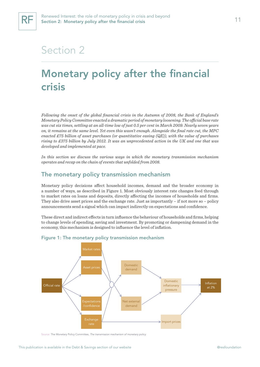## <span id="page-10-0"></span>Section 2

## Monetary policy after the financial crisis

*Following the onset of the global financial crisis in the Autumn of 2008, the Bank of England's Monetary Policy Committee enacted a dramatic period of monetary loosening. The official base rate was cut six times, settling at an all-time low of just 0.5 per cent in March 2009. Nearly seven years on, it remains at the same level. Yet even this wasn't enough. Alongside the final rate cut, the MPC enacted £75 billion of asset purchases (or quantitative easing (QE)), with the value of purchases rising to £375 billion by July 2012. It was an unprecedented action in the UK and one that was developed and implemented at pace.*

In this section we discuss the various ways in which the monetary transmission mechanism *operates and recap on the chain of events that unfolded from 2008.* 

### The monetary policy transmission mechanism

Monetary policy decisions affect household incomes, demand and the broader economy in a number of ways, as described in Figure 1. Most obviously interest rate changes feed through to market rates on loans and deposits, directly affecting the incomes of households and firms. They also drive asset prices and the exchange rate. Just as importantly – if not more so – policy announcements send a signal which can impact indirectly on expectations and confidence.

These direct and indirect effects in turn influence the behaviour of households and firms, helping to change levels of spending, saving and investment. By promoting or dampening demand in the economy, this mechanism is designed to influence the level of inflation.



#### Figure 1: The monetary policy transmission mechanism

Source: The Monetary Policy Committee, *The transmission mechanism of monetary policy*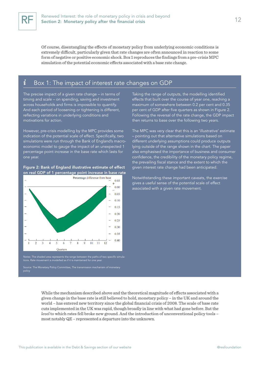Of course, disentangling the effects of monetary policy from underlying economic conditions is extremely difficult, particularly given that rate changes are often announced in reaction to some form of negative or positive economic shock. Box 1 reproduces the findings from a pre-crisis MPC simulation of the potential economic effects associated with a base rate change.

### $\bm{i}$   $\,$  Box 1: The impact of interest rate changes on GDP

The precise impact of a given rate change – in terms of timing and scale – on spending, saving and investment across households and firms is impossible to quantify. And each period of loosening or tightening is different, reflecting variations in underlying conditions and motivations for action.

However, pre-crisis modelling by the MPC provides some indication of the potential scale of effect. Specifically, two simulations were run through the Bank of England's macroeconomic model to gauge the impact of an unexpected 1 percentage point increase in the base rate which lasts for one year.

<span id="page-11-0"></span>Figure 2: Bank of England illustrative estimate of effect on real GDP of 1 percentage point increase in base rate



Source: The Monetary Policy Committee, The transmission mechanism of monetary policy

Taking the range of outputs, the modelling identified effects that built over the course of year one, reaching a maximum of somewhere between 0.2 per cent and 0.35 per cent of GDP after five quarters as shown in [Figure 2](#page-11-0). Following the reversal of the rate change, the GDP impact then returns to base over the following two years.

The MPC was very clear that this is an 'illustrative' estimate – pointing out that alternative simulations based on different underlying assumptions could produce outputs lying outside of the range shown in the chart. The paper also emphasised the importance of business and consumer confidence, the credibility of the monetary policy regime, the prevailing fiscal stance and the extent to which the given interest rate change had been anticipated.

Notwithstanding these important caveats, the exercise gives a useful sense of the potential scale of effect associated with a given rate movement.

While the mechanism described above and the theoretical magnitude of effects associated with a given change in the base rate is still believed to hold, monetary policy – in the UK and around the world – has entered new territory since the global financial crisis of 2008. The scale of base rate cuts implemented in the UK was rapid, though broadly in line with what had gone before. But the *level* to which rates fell broke new ground. And the introduction of unconventional policy tools – most notably QE – represented a departure into the unknown.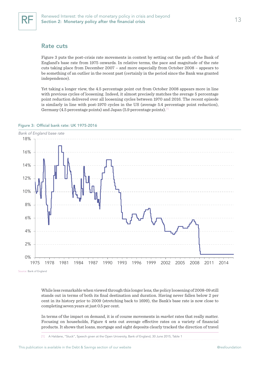<span id="page-12-0"></span>

### Rate cuts

Figure 3 puts the post-crisis rate movements in context by setting out the path of the Bank of England's base rate from 1975 onwards. In relative terms, the pace and magnitude of the rate cuts taking place from December 2007 – and more especially from October 2008 – appears to be something of an outlier in the recent past (certainly in the period since the Bank was granted independence).

Yet taking a longer view, the 4.5 percentage point cut from October 2008 appears more in line with previous cycles of loosening. Indeed, it almost precisely matches the average 5 percentage point reduction delivered over all loosening cycles between 1970 and 2016. The recent episode is similarly in line with post-1970 cycles in the US (average 5.4 percentage point reduction), Germany (4.5 percentage points) and Japan (5.9 percentage points).<sup>[1]</sup>



#### Figure 3: Official bank rate: UK 1975-2016

Source: Bank of England

While less remarkable when viewed through this longer lens, the policy loosening of 2008-09 still stands out in terms of both its final destination and duration. Having never fallen below 2 per cent in its history prior to 2009 (stretching back to 1699), the Bank's base rate is now close to completing seven years at just 0.5 per cent.

In terms of the impact on demand, it is of course movements in *market* rates that really matter. Focusing on households, Figure 4 sets out average effective rates on a variety of financial products. It shows that loans, mortgage and sight deposits clearly tracked the direction of travel

<sup>[1]</sup> A Haldane, "Stuck", Speech given at the Open University, Bank of England, 30 June 2015, Table 1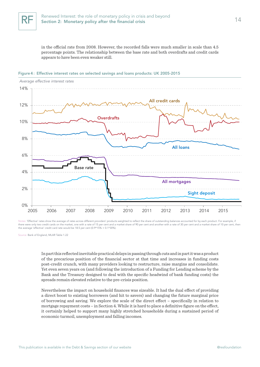

in the official rate from 2008. However, the recorded falls were much smaller in scale than 4.5 percentage points. The relationship between the base rate and both overdrafts and credit cards appears to have been even weaker still.



Figure 4: Effective interest rates on selected savings and loans products: UK 2005-2015

Notes: 'Effective' rates show the average of rates across different providers' products weighted to reflect the share of outstanding balances accounted for by each product. For example, if there were only two credit cards on the market, one with a rate of 15 per cent and a market share of 90 per cent and another with a rate of 30 per cent and a market share of 10 per cent, then the average 'effective' credit card rate would be 18.5 per cent (0.9\*15% + 0.1\*30%).

Source: Bank of England, MLAR Table 1.22

In part this reflected inevitable practical delays in passing through cuts and in part it was a product of the precarious position of the financial sector at that time and increases in funding costs post-credit crunch, with many providers looking to restructure, raise margins and consolidate. Yet even seven years on (and following the introduction of a Funding for Lending scheme by the Bank and the Treasury designed to deal with the specific headwind of bank funding costs) the spreads remain elevated relative to the pre-crisis position.

Nevertheless the impact on household finances was sizeable. It had the dual effect of providing a direct boost to existing borrowers (and hit to savers) and changing the future marginal price of borrowing and saving. We explore the scale of the direct effect – specifically in relation to mortgage repayment costs – in Section 4. While it is hard to place a definitive figure on the effect, it certainly helped to support many highly stretched households during a sustained period of economic turmoil, unemployment and falling incomes.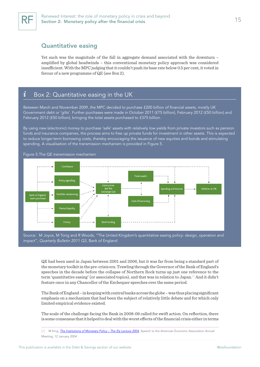<span id="page-14-0"></span>

### Quantitative easing

Yet such was the magnitude of the fall in aggregate demand associated with the downturn – amplified by global headwinds – this conventional monetary policy approach was considered insufficient. With the MPC judging that it couldn't push its base rate below 0.5 per cent, it voted in favour of a new programme of QE (see Box 2).

### $\bm{i}$   $\,$  Box 2: Quantitative easing in the UK

Between March and November 2009, the MPC decided to purchase £200 billion of financial assets, mostly UK Government debt or 'gilts'. Further purchases were made in October 2011 (£75 billion), February 2012 (£50 billion) and February 2012 (£50 billion), bringing the total assets purchased to £375 billion.

By using new (electronic) money to purchase 'safe' assets with relatively low yields from private investors such as pension funds and insurance companies, the process aims to free up private funds for investment in other assets. This is expected to reduce longer-term borrowing costs, thereby encouraging the issuance of new equities and bonds and stimulating spending. A visualisation of the transmission mechanism is provided in [Figure 5.](#page-14-1)



<span id="page-14-1"></span>Figure 5:The QE transmission mechanism

Source: M Joyce, M Tong and R Woods, "The United Kingdom's quantitative easing policy: design, operation and impact", *Quarterly Bulletin 2011 Q3*, Bank of England

QE had been used in Japan between 2001 and 2006, but it was far from being a standard part of the monetary toolkit in the pre-crisis era. Trawling through the Governor of the Bank of England's speeches in the decade before the collapse of Northern Rock turns up just one reference to the term 'quantitative easing' (or associated topics), and that was in relation to Japan.[2] And it didn't feature once in any Chancellor of the Exchequer speeches over the same period.

The Bank of England – in keeping with central banks across the globe – was thus placing significant emphasis on a mechanism that had been the subject of relatively little debate and for which only limited empirical evidence existed.

The scale of the challenge facing the Bank in 2008-09 called for swift action. On reflection, there is some consensus that it helped to deal with the worst effects of the financial crisis either in terms

<sup>[2]</sup> M King, *[The Institutions of Monetary Policy – The Ely Lecture 2004](http://www.bankofengland.co.uk/archive/Documents/historicpubs/speeches/2004/speech208.pdf),* Speech to the American Economic Association Annual Meeting, 12 January 2004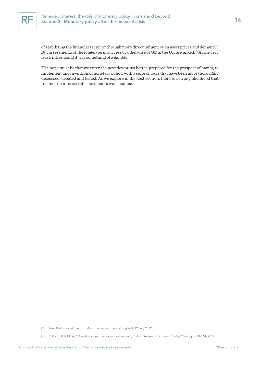

of stabilising the financial sector or through more direct influences on asset prices and demand.[3] But assessments of the longer-term success or otherwise of QE in the UK are mixed.[4] At the very least, introducing it was something of a gamble.

The hope must be that we enter the next downturn better-prepared for the prospect of having to implement unconventional monetary policy, with a suite of tools that have been more thoroughly discussed, debated and tested. As we explore in the next section, there is a strong likelihood that reliance on interest rate movements won't suffice.

[4] C Martin & C Milas, "Quantitative easing: a sceptical survey", *Oxford Review of Economic Policy,* 28(4), pp. 750-764, 2012

<sup>[3]</sup> *The Distributional Effects of Asset Purchases,* Bank of England, 12 July 2012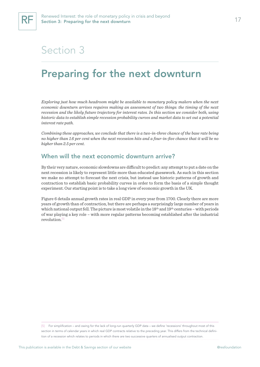## <span id="page-16-0"></span>Section 3

## Preparing for the next downturn

*Exploring just how much headroom might be available to monetary policy makers when the next economic downturn arrives requires making an assessment of two things: the timing of the next recession and the likely future trajectory for interest rates. In this section we consider both, using historic data to establish simple recession probability curves and market data to set out a potential interest rate path.* 

*Combining these approaches, we conclude that there is a two-in-three chance of the base rate being no higher than 1.6 per cent when the next recession hits and a four-in-five chance that it will be no higher than 2.5 per cent.* 

### When will the next economic downturn arrive?

By their very nature, economic slowdowns are difficult to predict: any attempt to put a date on the next recession is likely to represent little more than educated guesswork. As such in this section we make no attempt to forecast the next crisis, but instead use historic patterns of growth and contraction to establish basic probability curves in order to form the basis of a simple thought experiment. Our starting point is to take a long view of economic growth in the UK.

Figure 6 details annual growth rates in real GDP in every year from 1700. Clearly there are more years of growth than of contraction, but there are perhaps a surprisingly large number of years in which national output fell. The picture is most volatile in the  $18<sup>th</sup>$  and  $19<sup>th</sup>$  centuries – with periods of war playing a key role – with more regular patterns becoming established after the industrial revolution.[5]

[5] For simplification – and owing for the lack of long-run quarterly GDP data – we define 'recessions' throughout most of this section in terms of calendar years in which real GDP contracts relative to the preceding year. This differs from the technical definition of a recession which relates to periods in which there are two successive quarters of annualised output contraction.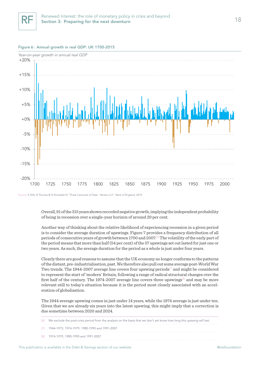





Source: S Hills, R Thomas & N Dimsdale N "Three Centuries of Data - Version 2.2", Bank of England, 2015

Overall, 91 of the 315 years shown recorded negative growth, implying the independent probability of being in recession over a single-year horizon of around 29 per cent.

Another way of thinking about the relative likelihood of experiencing recession in a given period is to consider the average duration of upswings. Figure 7 provides a frequency distribution of all periods of consecutive years of growth between 1700 and 2007.<sup>[6]</sup> The volatility of the early part of the period means that more than half (54 per cent) of the 57 upswings set out lasted for just one or two years. As such, the average duration for the period as a whole is just under four years.

Clearly there are good reasons to assume that the UK economy no longer conforms to the patterns of the distant, pre-industrialisation, past. We therefore also pull out some average post-World War Two trends. The 1944-2007 average line covers four upswing periods<sup>[7]</sup> and might be considered to represent the start of 'modern' Britain, following a range of radical structural changes over the first half of the century. The 1974-2007 average line covers three upswings<sup>[8]</sup> and may be more relevant still to today's situation because it is the period most closely associated with an acceleration of globalisation.

The 1944 average upswing comes in just under 14 years, while the 1974 average is just under ten. Given that we are already six years into the latest upswing, this might imply that a correction is due sometime between 2020 and 2024.

- [6] We exclude the post-crisis period from the analysis on the basis that we don't yet know how long this upswing will last.
- [7] 1944-1973, 1974-1979, 1980-1990 and 1991-2007.
- [8] 1974-1979, 1980-1990 and 1991-2007.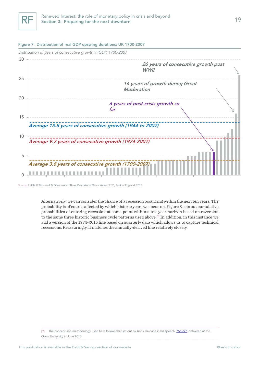

#### Figure 7: Distribution of real GDP upswing durations: UK 1700-2007



ce: S Hills, R Thomas & N Dimsdale N "Three Centuries of Data - Version 2.2", Bank of England, 2015

Alternatively, we can consider the chance of a recession occurring within the next ten years. The probability is of course affected by which historic years we focus on. Figure 8 sets out cumulative probabilities of entering recession at some point within a ten-year horizon based on reversion to the same three historic business cycle patterns used above.[9] In addition, in this instance we add a version of the 1974-2015 line based on quarterly data which allows us to capture technical recessions. Reassuringly, it matches the annually-derived line relatively closely.

[9] The concept and methodology used here follows that set out by Andy Haldane in his speech, ["Stuck"](http://www.bankofengland.co.uk/publications/Pages/speeches/2015/828.aspx), delivered at the Open University in June 2015.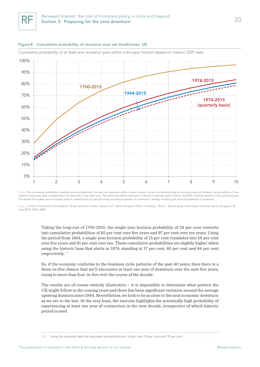



*Cumulative probability of at least one recession year within a ten-year horizon based on historic GDP data*

Notes: The cumulative probability is defined as the probability of at least one recession within a given horizon. As per the methodology set out previously by Haldane, the probability of a recession in any given year is independent of outcomes in any other year. The solid lines define 'recession' in terms of calendar years in which real GDP contracts relative to the preceding year. The dotted line makes use of quarterly data to instead focus on periods of two successive quarters of contraction, thereby matching the technical definition of recession.

.<br>Source: S Hills, R Thomas & N Dimsdale N "Three Centuries of Data - Version 2.2", Bank of England, 2015; A Haldane, "Stuck", Speech given at the Open University, Bank of England, 30 June 2015; ONS, *ABMI*

> Taking the long-run of 1700-2015, the single-year horizon probability of 29 per cent converts into cumulative probabilities of 82 per cent over five years and 97 per cent over ten years. Using the period from 1944, a single-year horizon probability of 15 per cent translates into 56 per cent over five years and 81 per cent over ten. These cumulative probabilities are slightly higher when using the historic base that starts in 1974, standing at 17 per cent, 60 per cent and 84 per cent respectively.[10]

> So, if the economy conforms to the business cycle patterns of the past 40 years, then there is a three-in-five chance that we'll encounter at least one year of downturn over the next five years, rising to more than four-in-five over the course of the decade.

> The results are of course entirely illustrative – it is impossible to determine what pattern the UK might follow in the coming years and there has been significant variation around the average upswing duration since 1944. Nevertheless, we look to be as close to the next economic downturn as we are to the last. At the very least, the exercise highlights the potentially high probability of experiencing at least one year of contraction in the next decade, irrespective of which historic period is used.

<sup>[10]</sup> Using the quarterly data the equivalent probabilities are 14 per cent, 54 per cent and 78 per cent.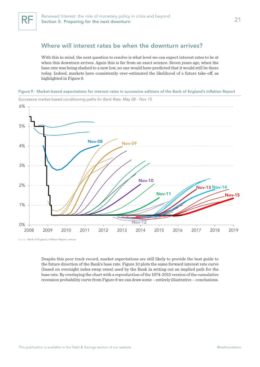<span id="page-20-0"></span>

### Where will interest rates be when the downturn arrives?

With this in mind, the next question to resolve is what level we can expect interest rates to be at when this downturn arrives. Again this is far from an exact science. Seven years ago, when the base rate was being slashed to a new low, no one would have predicted that it would still be there today. Indeed, markets have consistently over-estimated the likelihood of a future take-off, as highlighted in Figure 9.





Source: Bank of England, *Inflation Report*, various

Despite this poor track record, market expectations are still likely to provide the best guide to the future direction of the Bank's base rate. Figure 10 plots the same forward interest rate curve (based on overnight index swap rates) used by the Bank in setting out an implied path for the base rate. By overlaying the chart with a reproduction of the 1974-2015 version of the cumulative recession probability curve from Figure 8 we can draw some – entirely illustrative – conclusions.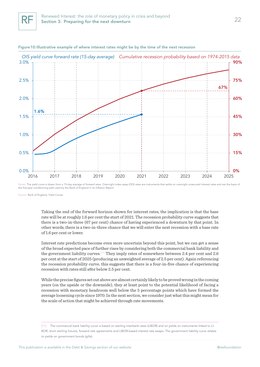



#### Figure 10: Illustrative example of where interest rates might be by the time of the next recession

Notes: The yield curve is drawn from a 15-day average of forward rates. Overnight index swap (OIS) rates are instruments that settle on overnight unsecured interest rates and are the basis of the five-year conditioning path used by the Bank of England in its *Inflation Report.* 

Source: Bank of England, *Yield Curves*

Taking the end of the forward horizon shown for interest rates, the implication is that the base rate will be at roughly 1.6 per cent the start of 2021. The recession probability curve suggests that there is a two-in-three (67 per cent) chance of having experienced a downturn by that point. In other words, there is a two-in-three chance that we will enter the next recession with a base rate of 1.6 per cent or lower.

Interest rate predictions become even more uncertain beyond this point, but we can get a sense of the broad expected pace of further rises by considering both the commercial bank liability and the government liability curves.[11] They imply rates of somewhere between 2.4 per cent and 2.6 per cent at the start of 2025 (producing an unweighted average of 2.5 per cent). Again referencing the recession probability curve, this suggests that there is a four-in-five chance of experiencing recession with rates still at%r below 2.5 per cent.

While the precise figures set out above are almost certainly likely to be proved wrong in the coming years (on the upside or the downside), they at least point to the potential likelihood of facing a recession with monetary headroom well below the 5 percentage points which have formed the average loosening cycle since 1970. In the next section, we consider just what this might mean for the scale of action that might be achieved through rate movements.

<sup>[11]</sup> The commercial bank liability curve is based on sterling interbank rates (LIBOR) and on yields on instruments linked to LI-BOR, short sterling futures, forward rate agreements and LIBOR-based interest rate swaps. The government liability curve relates to yields on government bonds (gilts).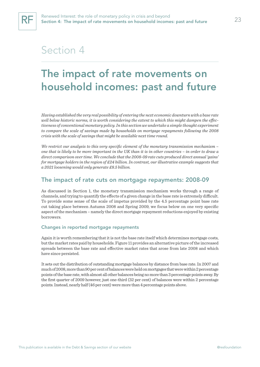<span id="page-22-0"></span>

## Section 4

## The impact of rate movements on household incomes: past and future

*Having established the very real possibility of entering the next economic downturn with a base rate well below historic norms, it is worth considering the extent to which this might dampen the effectiveness of conventional monetary policy. In this section we undertake a simple thought experiment to compare the scale of savings made by households on mortgage repayments following the 2008 crisis with the scale of savings that might be available next time round.* 

*We restrict our analysis to this very specific element of the monetary transmission mechanism – one that is likely to be more important in the UK than it is in other countries – in order to draw a direct comparison over time. We conclude that the 2008-09 rate cuts produced direct annual 'gains' for mortgage holders in the region of £24 billion. In contrast, our illustrative example suggests that a 2021 loosening would only generate £8.5 billion.* 

### The impact of rate cuts on mortgage repayments: 2008-09

As discussed in Section 1, the monetary transmission mechanism works through a range of channels, and trying to quantify the effects of a given change in the base rate is extremely difficult. To provide some sense of the scale of impetus provided by the 4.5 percentage point base rate cut taking place between Autumn 2008 and Spring 2009, we focus below on one very specific aspect of the mechanism – namely the direct mortgage repayment reductions enjoyed by existing borrowers.

#### Changes in reported mortgage repayments

Again it is worth remembering that it is not the base rate itself which determines mortgage costs, but the market rates paid by households. Figure 11 provides an alternative picture of the increased spreads between the base rate and effective market rates that arose from late 2008 and which have since persisted.

It sets out the distribution of outstanding mortgage balances by distance from base rate. In 2007 and much of 2008, more than 90 per cent of balances were held on mortgages that were within 2 percentage points of the base rate, with almost all other balances being no more than 3 percentage points away. By the first quarter of 2009 however, just one-third (32 per cent) of balances were within 2 percentage points. Instead, nearly half (46 per cent) were more than 4 percentage points above.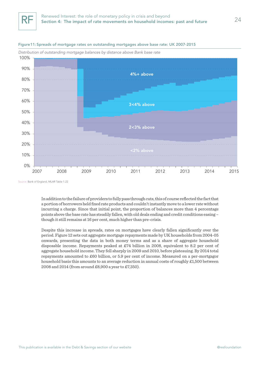



#### Figure 11: Spreads of mortgage rates on outstanding mortgages above base rate: UK 2007-2015

Source: Bank of England, MLAR Table 1.22

In addition to the failure of providers to fully pass through cuts, this of course reflected the fact that a portion of borrowers held fixed rate products and couldn't instantly move to a lower rate without incurring a charge. Since that initial point, the proportion of balances more than 4 percentage points above the base rate has steadily fallen, with old deals ending and credit conditions easing – though it still remains at 16 per cent, much higher than pre-crisis.

Despite this increase in spreads, rates on mortgages have clearly fallen significantly over the period. Figure 12 sets out aggregate mortgage repayments made by UK households from 2004-05 onwards, presenting the data in both money terms and as a share of aggregate household disposable income. Repayments peaked at £74 billion in 2008, equivalent to 8.2 per cent of aggregate household income. They fell sharply in 2009 and 2010, before plateauing. By 2014 total repayments amounted to £60 billion, or 5.9 per cent of income. Measured on a per-mortgagor household basis this amounts to an average reduction in annual costs of roughly £1,500 between 2008 and 2014 (from around £8,900 a year to £7,350).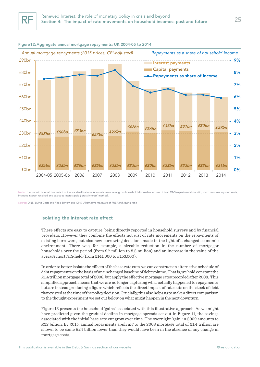



#### Figure 12: Aggregate annual mortgage repayments: UK 2004-05 to 2014

Notes: 'Household income' is a variant of the standard National Accounts measure of gross household disposable income. It is an ONS experimental statistic, which removes imputed rents, includes interest received and excludes interest paid ('gross interest' method).

Source: ONS, *Living Costs and Food Survey*; and ONS, *Alternative measures of RHDI and saving ratio*

#### Isolating the interest rate effect

These effects are easy to capture, being directly reported in household surveys and by financial providers. However they combine the effects not just of rate movements on the repayments of existing borrowers, but also new borrowing decisions made in the light of a changed economic environment. There was, for example, a sizeable reduction in the number of mortgagor households over the period (from 9.7 million to 8.2 million) and an increase in the value of the average mortgage held (from £141,000 to £153,000).

In order to better isolate the effects of the base rate cuts, we can construct an alternative schedule of debt repayments on the basis of an unchanged baseline of debt volume. That is, we hold constant the £1.4 trillion mortgage total of 2008, but apply the effective mortgage rates recorded after 2008. This simplified approach means that we are no longer capturing what actually happened to repayments, but are instead producing a figure which reflects the direct impact of rate cuts on the stock of debt that existed at the time of the policy decision. Crucially, this also helps us to make a direct comparison to the thought experiment we set out below on what might happen in the next downturn.

[Figure 13](#page-25-0) presents the household 'gains' associated with this illustrative approach. As we might have predicted given the gradual decline in mortgage spreads set out in Figure 11, the savings associated with the initial base rate cut grow over time. The overnight 'gain' in 2009 amounts to £22 billion. By 2015, annual repayments applying to the 2008 mortgage total of £1.4 trillion are shown to be some £24 billion lower than they would have been in the absence of any change in mortgage costs.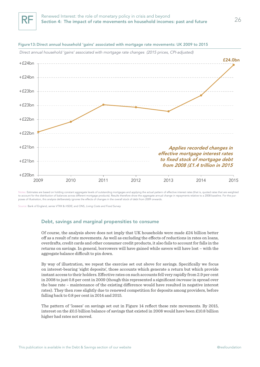



#### <span id="page-25-0"></span>Figure 13: Direct annual household 'gains' associated with mortgage rate movements: UK 2009 to 2015

Notes: Estimates are based on holding constant aggregate levels of outstanding mortgages and applying the actual pattern of effective interest rates (that is, quoted rates that are weighted to account for the distribution of balances across different mortgage products). Results therefore show the aggregate annual change in repayments relative to a 2008 baseline. For the purposes of illustration, this analysis deliberately ignores the effects of changes in the overall stock of debt from 2009 onwards.

Source: Bank of England, *series VTXK* & *HSDE*; and ONS, *Living Costs and Food Survey*

#### Debt, savings and marginal propensities to consume

Of course, the analysis above does not imply that UK households were made  $\pounds24$  billion better off as a result of rate movements. As well as excluding the effects of reductions in rates on loans, overdrafts, credit cards and other consumer credit products, it also fails to account for falls in the returns on savings. In general, borrowers will have gained while savers will have lost – with the aggregate balance difficult to pin down.

By way of illustration, we repeat the exercise set out above for savings. Specifically we focus on interest-bearing 'sight deposits', those accounts which generate a return but which provide instant access to their holders. Effective rates on such accounts fell very rapidly from 2.9 per cent in 2008 to just 0.8 per cent in 2009 (though this represented a significant *increase* in spread over the base rate – maintenance of the existing difference would have resulted in negative interest rates). They then rose slightly due to renewed competition for deposits among providers, before falling back to 0.8 per cent in 2014 and 2015.

The pattern of 'losses' on savings set out in [Figure 14](#page-26-0) reflect these rate movements. By 2015, interest on the £0.5 billion balance of savings that existed in 2008 would have been £10.8 billion higher had rates not moved.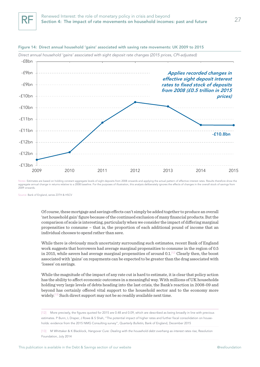



<span id="page-26-0"></span>Figure 14: Direct annual household 'gains' associated with saving rate movements: UK 2009 to 2015

*Direct annual household 'gains' associated with sight deposit rate changes (2015 prices, CPI-adjusted)*

Notes: Estimates are based on holding constant aggregate levels of sight deposits from 2008 onwards and applying the actual pattern of effective interest rates. Results therefore show the aggregate annual change in returns relative to a 2008 baseline. For the purposes of illustration, this analysis deliberately ignores the effects of changes in the overall stock of savings from 2009 onwards.

Source: Bank of England, series Z3TH & HSCV

Of course, these mortgage and savings effects can't simply be added together to produce an overall 'net household gain' figure because of the continued exclusion of many financial products. But the comparison of scale is interesting, particularly when we consider the impact of differing marginal propensities to consume – that is, the proportion of each additional pound of income that an individual chooses to spend rather than save.

While there is obviously much uncertainty surrounding such estimates, recent Bank of England work suggests that borrowers had average marginal propensities to consume in the region of 0.5 in 2015, while savers had average marginal propensities of around  $0.1$ .<sup>[12]</sup> Clearly then, the boost associated with 'gains' on repayments can be expected to be greater than the drag associated with 'losses' on savings.

While the magnitude of the impact of any rate cut is hard to estimate, it is clear that policy action has the ability to affect economic outcomes in a meaningful way. With millions of UK households holding very large levels of debts heading into the last crisis, the Bank's reaction in 2008-09 and beyond has certainly offered vital support to the household sector and to the economy more widely.<sup>[13]</sup> Such direct support may not be so readily available next time.

[12] More precisely, the figures quoted for 2015 are 0.48 and 0.09, which are described as being broadly in line with previous estimates. P Bunn, L Draper, J Rowe & S Shah, "The potential impact of higher rates and further fiscal consolidation on households: evidence from the 2015 NMG Consulting survey", *Quarterly Bulletin,* Bank of England, December 2015

[13] M Whittaker & K Blacklock, *Hangover Cure: Dealing with the household debt overhang as interest rates rise*, Resolution Foundation, July 2014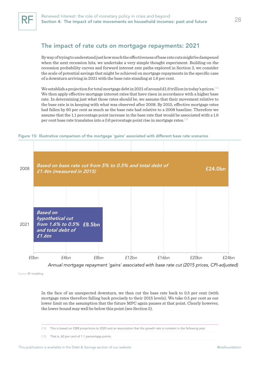<span id="page-27-0"></span>

### The impact of rate cuts on mortgage repayments: 2021

By way of trying to understand just how much the effectiveness of base rate cuts might be dampened when the next recession hits, we undertake a very simple thought experiment. Building on the recession probability curves and forward interest rate paths explored in Section 3, we consider the scale of potential savings that might be achieved on mortgage repayments in the specific case of a downturn arriving in 2021 with the base rate standing at 1.6 per cent.

We establish a projection for total mortgage debt in 2021 of around £1.6 trillion in today's prices.<sup>[14]</sup> We then apply effective mortgage interest rates that have risen in accordance with a higher base rate. In determining just what those rates should be, we assume that their movement relative to the base rate is in keeping with what was observed after 2008. By 2015, effective mortgage rates had fallen by 60 per cent as much as the base rate had relative to a 2008 baseline. Therefore we assume that the 1.1 percentage point increase in the base rate that would be associated with a 1.6 per cent base rate translates into a 0.6 percentage point rise in mortgage rates.[15]

#### <span id="page-27-1"></span>Figure 15: Illustrative comparison of the mortgage 'gains' associated with different base rate scenarios



*Annual mortgage repayment 'gains' associated with base rate cut (2015 prices, CPI-adjusted)*

Source: RF modelling

In the face of an unexpected downturn, we then cut the base rate back to 0.5 per cent (with mortgage rates therefore falling back precisely to their 2015 levels). We take 0.5 per cent as our lower limit on the assumption that the future MPC again pauses at that point. Clearly however, the lower bound may well be below this point (see Section 5).

[14] This is based on OBR projections to 2020 and an assumption that the growth rate is constant in the following year.

[15] That is, 60 per cent of 1.1 percentage points.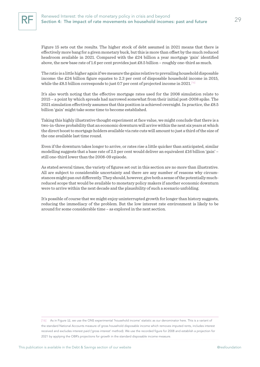

[Figure 15](#page-27-1) sets out the results. The higher stock of debt assumed in 2021 means that there is effectively more bang for a given monetary buck, but this is more than offset by the much reduced headroom available in 2021. Compared with the £24 billion a year mortgage 'gain' identified above, the new base rate of 1.6 per cent provides just £8.5 billion – roughly one-third as much.

The ratio is a little higher again if we measure the gains relative to prevailing household disposable income: the £24 billion figure equates to 2.3 per cent of disposable household income in 2015, while the £8.5 billion corresponds to just 0.7 per cent of projected income in 2021.[16]

It's also worth noting that the effective mortgage rates used for the 2008 simulation relate to 2015 – a point by which spreads had narrowed somewhat from their initial post-2008 spike. The 2021 simulation effectively assumes that this position is achieved overnight. In practice, the £8.5 billion 'gain' might take some time to become established.

Taking this highly illustrative thought experiment at face value, we might conclude that there is a two-in-three probability that an economic downturn will arrive within the next six years at which the direct boost to mortgage holders available via rate cuts will amount to just a third of the size of the one available last time round.

Even if the downturn takes longer to arrive, or rates rise a little quicker than anticipated, similar modelling suggests that a base rate of 2.5 per cent would deliver an equivalent £16 billion 'gain' – still one-third lower than the 2008-09 episode.

As stated several times, the variety of figures set out in this section are no more than illustrative. All are subject to considerable uncertainty and there are any number of reasons why circumstances might pan out differently. They should, however, give both a sense of the potentially muchreduced scope that would be available to monetary policy makers if another economic downturn were to arrive within the next decade and the plausibility of such a scenario unfolding.

It's possible of course that we might enjoy uninterrupted growth for longer than history suggests, reducing the immediacy of the problem. But the low interest rate environment is likely to be around for some considerable time – as explored in the next section.

[16] As in Figure 12, we use the ONS experimental 'household income' statistic as our denominator here. This is a variant of the standard National Accounts measure of gross household disposable income which removes imputed rents, includes interest received and excludes interest paid ('gross interest' method). We use the recorded figure for 2008 and establish a projection for 2021 by applying the OBR's projections for growth in the standard disposable income measure.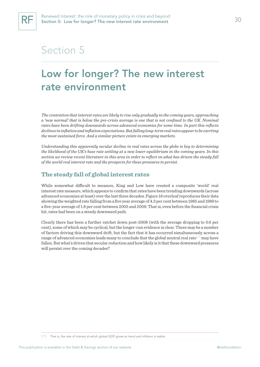## <span id="page-29-0"></span>Section 5

## Low for longer? The new interest rate environment

*The contention that interest rates are likely to rise only gradually in the coming years, approaching a 'new normal' that is below the pre-crisis average is one that is not confined to the UK. Nominal rates have been drifting downwards across advanced economies for some time. In part this reflects declines in inflation and inflation expectations. But falling long-term real rates appear to be exerting the most sustained force. And a similar picture exists in emerging markets.* 

*Understanding this apparently secular decline in real rates across the globe is key to determining the likelihood of the UK's base rate settling at a new lower equilibrium in the coming years. In this section we review recent literature in this area in order to reflect on what has driven the steady fall of the world real interest rate and the prospects for these pressures to persist.* 

### **The steady fall of global interest rates**

While somewhat difficult to measure, King and Low have created a composite 'world' real interest rate measure, which appears to confirm that rates have been trending downwards (across advanced economies at least) over the last three decades. [Figure 16](#page-30-1) overleaf reproduces their data showing the weighted rate falling from a five year average of 4.3 per cent between 1985 and 1989 to a five-year average of 1.8 per cent between 2005 and 2009. That is, even before the financial crisis hit, rates had been on a steady downward path.

Clearly there has been a further ratchet down post-2008 (with the average dropping to 0.6 per cent), some of which may be cyclical, but the longer-run evidence is clear. There may be a number of factors driving this downward drift, but the fact that it has occurred simultaneously across a range of advanced economies leads many to conclude that the global neutral real rate  $|17|$  may have fallen. But what's driven that secular reduction and how likely is it that these downward pressures will persist over the coming decades?

<sup>[17]</sup> That is, the rate of interest at which global GDP grows at trend and inflation is stable.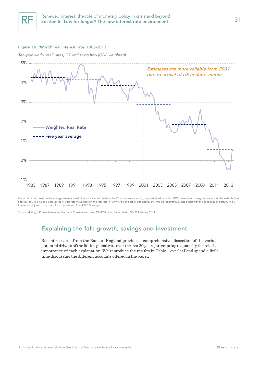<span id="page-30-0"></span>

#### <span id="page-30-1"></span>Figure 16: 'World' real interest rate: 1985-2013



*Ten-year world 'real' rates, G7 excluding Italy (GDP weighted)*

Notes: Series is based on the average ten-year yield of inflation-linked bonds in the G7 countries excluding Italy, weighted based on GDP shares (the unweighted version of the series is little altered). Italy is excluded because post-crisis rate movements in the real rate in Italy were significantly affected by the implicit risk premium associated with the possibility of default. The UK figures are adjusted to account for expectations of the RPI-CPI wedge.

Source: M King & D Low, *Measuring the "world" real interest rate*, NBER Working Paper Series, NBER, February 2014

## Explaining the fall: growth, savings and investment

Recent research from the Bank of England provides a comprehensive dissection of the various potential drivers of the falling global rate over the last 30 years, attempting to quantify the relative importance of each explanation. We reproduce the results in [Table 1](#page-31-0) overleaf and spend a little time discussing the different accounts offered in the paper.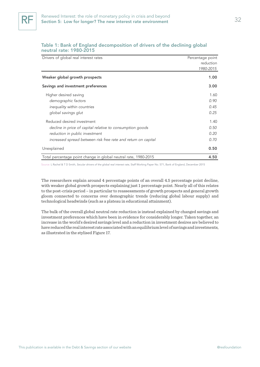#### <span id="page-31-0"></span>Table 1: Bank of England decomposition of drivers of the declining global neutral rate: 1980-2015

| Drivers of global real interest rates                           | Percentage point |
|-----------------------------------------------------------------|------------------|
|                                                                 | reduction        |
|                                                                 | 1980-2015        |
| Weaker global growth prospects                                  | 1.00             |
| Savings and investment preferences                              | 3.00             |
| Higher desired saving                                           | 1.60             |
| demographic factors                                             | 0.90             |
| inequality within countries                                     | 0.45             |
| global savings glut                                             | 0.25             |
| Reduced desired investment                                      | 1.40             |
| decline in price of capital relative to consumption goods       | 0.50             |
| reduction in public investment                                  | 0.20             |
| increased spread between risk free rate and return on capital   | 0.70             |
| Unexplained                                                     | 0.50             |
| Total percentage point change in global neutral rate, 1980-2015 | 4.50             |

Source: L Rachel & T D Smith, *Secular drivers of the global real interest rate*, Staff Working Paper No. 571, Bank of England, December 2015

The researchers explain around 4 percentage points of an overall 4.5 percentage point decline, with weaker global growth prospects explaining just 1 percentage point. Nearly all of this relates to the post-crisis period – in particular to reassessments of growth prospects and general growth gloom connected to concerns over demographic trends (reducing global labour supply) and technological headwinds (such as a plateau in educational attainment).

The bulk of the overall global neutral rate reduction is instead explained by changed savings and investment preferences which have been in evidence for considerably longer. Taken together, an increase in the world's desired savings level and a reduction in investment desires are believed to have reduced the real interest rate associated with an equilibrium level of savings and investments, as illustrated in the stylised [Figure 17](#page-32-0).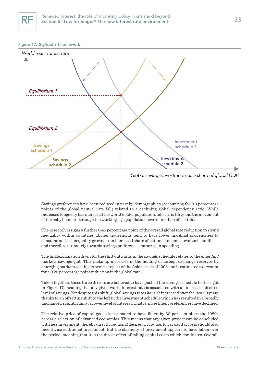

#### <span id="page-32-0"></span>Figure 13: Stylised S-I framework 17:



*Global savings/investments as a share of global GDP*

Savings preferences have been reduced in part by demographics (accounting for 0.9 percentage points of the global neutral rate fall) related to a declining global dependency ratio. While increased longevity has increased the world's older population, falls in fertility and the movement of the baby boomers through the working-age population have more than offset this.

The research assigns a further 0.45 percentage point of the overall global rate reduction to rising inequality within countries. Richer households tend to have lower marginal propensities to consume and, as inequality grows, so an increased share of national income flows such families – and therefore ultimately towards savings preferences rather than spending.

The finalexplanation given for the shift outwards in the savings schedule relates to the emerging markets savings glut. This picks up increases in the holding of foreign exchange reserves by emerging markets seeking to avoid a repeat of the Asian crisis of 1998 and is estimated to account for a 0.25 percentage point reduction in the global rate.

Taken together, these three drivers are believed to have pushed the savings schedule to the right in [Figure 17,](#page-32-0) meaning that any given world interest rate is associated with an increased desired level of savings. Yet despite this shift, global savings rates *haven't* increased over the last 30 years thanks to an offsetting shift to the left in the investment schedule which has resulted in a broadly unchanged equilibrium at a lower level of interest. That is, investment preferences have declined.

The relative price of capital goods is estimated to have fallen by 30 per cent since the 1980s across a selection of advanced economies. This means that any given project can be concluded with less investment, thereby directly reducing desires. Of course, lower capital costs should also incentivise additional investment. But the elasticity of investment appears to have fallen over the period, meaning that it is the direct effect of falling capital costs which dominates. Overall,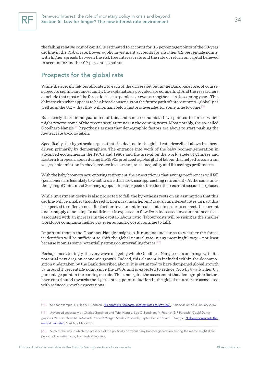<span id="page-33-0"></span>

the falling relative cost of capital is estimated to account for 0.5 percentage points of the 30-year decline in the global rate. Lower public investment accounts for a further 0.2 percentage points, with higher spreads between the risk free interest rate and the rate of return on capital believed to account for another 0.7 percentage points.

### Prospects for the global rate

While the specific figures allocated to each of the drivers set out in the Bank paper are, of course, subject to significant uncertainty, the explanations provided are compelling. And the researchers conclude that most of the forces look set to persist – or even strengthen – in the coming years. This chimes with what appears to be a broad consensus on the future path of interest rates – globally as well as in the UK – that they will remain below historic averages for some time to come.<sup>[18]</sup>

But clearly there is no guarantee of this, and some economists have pointed to forces which might reverse some of the recent secular trends in the coming years. Most notably, the so-called Goodhart-Nangle<sup>[19]</sup> hypothesis argues that demographic factors are about to start pushing the neutral rate back up again.

Specifically, the hypothesis argues that the decline in the global rate described above has been driven primarily by demographics. The entrance into work of the baby boomer generation in advanced economies in the 1970s and 1980s and the arrival on the world stage of Chinese and Eastern European labour during the 1990s produced a global glut of labour that helped to constrain wages, hold inflation in check, reduce investment, raise inequality and lift savings preferences.

With the baby boomers now entering retirement, the expectation is that savings preferences will fall (pensioners are less likely to want to save than are those approaching retirement). At the same time, the ageing of China's and Germany's populations is expected to reduce their current account surpluses.

While investment desire is also projected to fall, the hypothesis rests on an assumption that this decline will be smaller than the reduction in savings, helping to push up interest rates. In part this is expected to reflect a need for further investment in real estate, in order to correct the current under-supply of housing. In addition, it is expected to flow from increased investment incentives associated with an increase in the capital-labour ratio (labour costs will be rising as the smaller workforce commands higher pay even as capital costs continue to fall).

Important though the Goodhart-Nangle insight is, it remains unclear as to whether the forces it identifies will be sufficient to shift the global neutral rate in any meaningful way – not least because it omits some potentially strong countervailing forces.[20]

Perhaps most tellingly, the very wave of ageing which Goodhart-Nangle rests on brings with it a potential new drag on economic growth. Indeed, this element is included within the decomposition undertaken by the Bank described above. It is estimated to have dampened global growth by around 1 percentage point since the 1980s and is expected to reduce growth by a further 0.5 percentage point in the coming decade. This underpins the assessment that demographic factors have contributed towards the 1 percentage point reduction in the global neutral rate associated with reduced growth expectations.

[20] Such as the way in which the presence of the politically powerful baby boomer generation among the retired might skew public policy further away from today's workers.

<sup>[18]</sup> See for example, C Giles & E Cadman, ["Economists' forecasts: Interest rates to stay low",](http://www.ft.com/cms/s/0/a6611ff8-afa3-11e5-b955-1a1d298b6250.html) *Financial Times,* 3 January 2016

<sup>[19]</sup> Advanced separately by Charles Goodhart and Toby Nangle. See C Goodhart, M Pradhan & P Pardeshi, *Could Demographics Reverse Three Multi-Decade Trends?* Morgan Stanley Research, September 2015; and T Nangle, ["Labour power sets the](http://www.voxeu.org/article/labour-power-sets-neutral-real-rate)  [neutral real rate"](http://www.voxeu.org/article/labour-power-sets-neutral-real-rate), *VoxEU*, 9 May 2015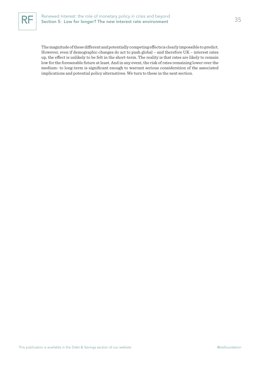

The magnitude of these different and potentially competing effects is clearly impossible to predict. However, even if demographic changes do act to push global – and therefore UK – interest rates up, the effect is unlikely to be felt in the short-term. The reality is that rates are likely to remain low for the foreseeable future at least. And in any event, the risk of rates remaining lower over the medium- to long-term is significant enough to warrant serious consideration of the associated implications and potential policy alternatives. We turn to these in the next section.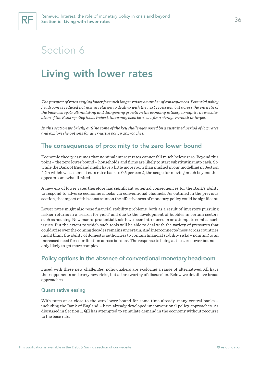## <span id="page-35-0"></span>Section 6

## Living with lower rates

*The prospect of rates staying lower for much longer raises a number of consequences. Potential policy headroom is reduced not just in relation to dealing with the next recession, but across the entirety of the business cycle. Stimulating and dampening growth in the economy is likely to require a re-evaluation of the Bank's policy tools. Indeed, there may even be a case for a change in remit or target.*

*In this section we briefly outline some of the key challenges posed by a sustained period of low rates and explore the options for alternative policy approaches.* 

### The consequences of proximity to the zero lower bound

Economic theory assumes that nominal interest rates cannot fall much below zero. Beyond this point – the zero lower bound – households and firms are likely to start substituting into cash. So, while the Bank of England might have a little more room than implied in our modelling in Section 4 (in which we assume it cuts rates back to 0.5 per cent), the scope for moving much beyond this appears somewhat limited.

A new era of lower rates therefore has significant potential consequences for the Bank's ability to respond to adverse economic shocks via conventional channels. As outlined in the previous section, the impact of this constraint on the effectiveness of monetary policy could be significant.

Lower rates might also pose financial stability problems, both as a result of investors pursuing riskier returns in a 'search for yield' and due to the development of bubbles in certain sectors such as housing. New macro-prudential tools have been introduced in an attempt to combat such issues. But the extent to which such tools will be able to deal with the variety of pressures that could arise over the coming decades remains uncertain. And interconnectedness across countries might blunt the ability of domestic authorities to contain financial stability risks – pointing to an increased need for coordination across borders. The response to being at the zero lower bound is only likely to get more complex.

## Policy options in the absence of conventional monetary headroom

Faced with these new challenges, policymakers are exploring a range of alternatives. All have their opponents and carry new risks, but all are worthy of discussion. Below we detail five broad approaches.

#### Quantitative easing

With rates at or close to the zero lower bound for some time already, many central banks – including the Bank of England – have already developed unconventional policy approaches. As discussed in Section 1, QE has attempted to stimulate demand in the economy without recourse to the base rate.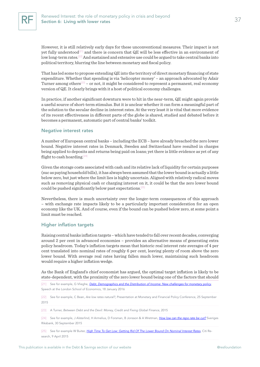

However, it is still relatively early days for these unconventional measures. Their impact is not yet fully understood<sup>[21]</sup> and there is concern that  $QE$  will be less effective in an environment of low long-term rates.[22] And sustained and extensive use could be argued to take central banks into political territory, blurring the line between monetary and fiscal policy.

That has led some to propose extending QE into the territory of direct monetary financing of state expenditure. Whether that spending is via 'helicopter money' – an approach advocated by Adair Turner among others[23] – or not, it might be considered to represent a permanent, real economy version of QE. It clearly brings with it a host of political economy challenges.

In practice, if another significant downturn were to hit in the near-term, QE might again provide a useful source of short-term stimulus. But it is unclear whether it can form a meaningful part of the solution to the secular decline in interest rates. At the very least it is vital that more evidence of its recent effectiveness in different parts of the globe is shared, studied and debated before it becomes a permanent, automatic part of central banks' toolkit.

#### Negative interest rates

A number of European central banks – including the ECB – have already breached the zero lower bound. Negative interest rates in Denmark, Sweden and Switzerland have resulted in charges being applied to deposits and returns being paid on loans; yet there is little evidence as yet of any flight to cash hoarding.<sup>[24]</sup>

Given the storage costs associated with cash and its relative lack of liquidity for certain purposes (suc as paying household bills), it has always been assumed that the lower bound is actually a little below zero, but just where the limit lies is highly uncertain. Aligned with relatively radical moves such as removing physical cash or charging interest on it, it could be that the zero lower bound could be pushed significantly below past expectations.[25]

Nevertheless, there is much uncertainty over the longer-term consequences of this approach – with exchange rate impacts likely to be a particularly important consideration for an open economy like the UK. And of course, even if the bound can be pushed below zero, at some point a limit must be reached.

#### Higher inflation targets

Raising central banks inflation targets – which have tended to fall over recent decades, converging around 2 per cent in advanced economies – provides an alternative means of generating extra policy headroom. Today's inflation targets mean that historic real interest rate averages of 4 per cent translated into nominal rates of roughly 6 per cent, leaving plenty of room above the zero lower bound. With average real rates having fallen much lower, maintaining such headroom would require a higher inflation wedge.

As the Bank of England's chief economist has argued, the optimal target inflation is likely to be state-dependent, with the proximity of the zero lower bound being one of the factors that should

[21] See for example, G Vlieghe, *[Debt, Demographics and the Distribution of Income: New challenges for monetary policy](http://www.bankofengland.co.uk/publications/Documents/speeches/2016/speech872.pdf)*, Speech at the London School of Economics, 18 January 2016

[22] See for example, C Bean, *Are low rates natural?,* Presentation at Monetary and Financial Policy Conference, 25 September 2015

[23] A Turner, *Between Debt and the Devil: Money, Credit and Fixing Global Finance*, 2015

[24] See for example, J Alsterlind, H Armelius, D Forsman, B Jonsson & A Wretman, *[How low can the repo rate be cut?](http://www.riksbank.se/Documents/Rapporter/Ekonomiska_kommentarer/2015/rap_ek_kom_nr11_150929_eng.pdf)* Sveriges Riksbank, 30 September 2015

[25] See for example W Buiter, *[High Time To Get Low: Getting Rid Of The Lower Bound On Nominal Interest Rates](http://willembuiter.com/ELB.pdf)*, Citi Research, 9 April 2015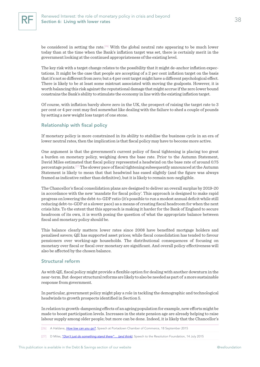be considered in setting the rate.<sup>[26]</sup> With the global neutral rate appearing to be much lower today than at the time when the Bank's inflation target was set, there is certainly merit in the government looking at the continued appropriateness of the existing level.

The key risk with a target change relates to the possibility that it might de-anchor inflation expectations. It might be the case that people are accepting of a 2 per cent inflation target on the basis that it's not so different from zero; but a 4 per cent target might have a different psychological effect. There is likely to be at least some mistrust associated with moving the goalposts. However, it is worth balancing this risk against the reputational damage that might accrue if the zero lower bound constrains the Bank's ability to stimulate the economy in line with the existing inflation target.

Of course, with inflation barely above zero in the UK, the prospect of raising the target rate to 3 per cent or 4 per cent may feel somewhat like dealing with the failure to shed a couple of pounds by setting a new weight loss target of one stone.

#### Relationship with fiscal policy

If monetary policy is more constrained in its ability to stabilise the business cycle in an era of lower neutral rates, then the implication is that fiscal policy may have to become more active.

One argument is that the government's current policy of fiscal tightening is placing too great a burden on monetary policy, weighing down the base rate. Prior to the Autumn Statement, David Miles estimated that fiscal policy represented a headwind on the base rate of around 0.75 percentage points.[27] The slower pace of fiscal tightening subsequently announced at the Autumn Statement is likely to mean that that headwind has eased slightly (and the figure was always framed as indicative rather than definitive), but it is likely to remain non-negligible.

The Chancellor's fiscal consolidation plans are designed to deliver an overall surplus by 2019-20 in accordance with the new 'mandate for fiscal policy'. This approach is designed to make rapid progress on lowering the debt-to-GDP ratio (it's possible to run a modest annual deficit while still reducing debt-to-GDP at a slower pace) as a means of creating fiscal headroom for when the next crisis hits. To the extent that this approach is making it harder for the Bank of England to secure headroom of its own, it is worth posing the question of what the appropriate balance between fiscal and monetary policy should be.

This balance clearly matters: lower rates since 2008 have benefited mortgage holders and penalised savers; QE has supported asset prices; while fiscal consolidation has tended to favour pensioners over working-age households. The distributional consequences of focusing on monetary over fiscal or fiscal over monetary are significant. And overall policy effectiveness will also be affected by the chosen balance.

#### Structural reform

As with QE, fiscal policy might provide a flexible option for dealing with another downturn in the near-term. But deeper structural reforms are likely to also be needed as part of a more sustainable response from government.

In particular, government policy might play a role in tackling the demographic and technological headwinds to growth prospects identified in Section 5.

In relation to growth-dampening effects of an ageing population for example, new efforts might be made to boost participation levels. Increases in the state pension age are already helping to raise labour supply among older people; but more can be done. Indeed, it is likely that the Chancellor's

[26] A Haldane, *[How low can you go?](http://www.bankofengland.co.uk/publications/Documents/speeches/2015/speech840.pdf)*, Speech at Portadown Chamber of Commerce, 18 September 2015

[27] D Miles, "*[Don't just do something stand there"… \(and think\)](http://www.bankofengland.co.uk/publications/Documents/speeches/2015/speech831.pdf)*, Speech to the Resolution Foundation, 14 July 2015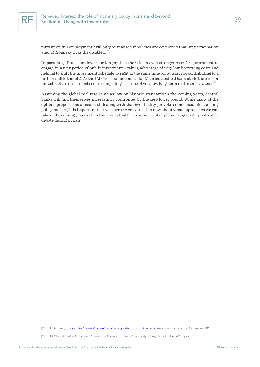pursuit of 'full employment' will only be realised if policies are developed that lift participation among groups such as the disabled.<sup>[28]</sup>

Importantly, if rates are lower for longer, then there is an even stronger case for government to engage in a new period of public investment – taking advantage of very low borrowing costs and helping to shift the investment schedule to right at the same time (or at least not contributing to a further pull to the left). As the IMF's economic counsellor Maurice Obstfeld has stated: "the case for infrastructure investment seems compelling at a time of very low long-term real interest rates".<sup>[29]</sup>

Assuming the global real rate remains low by historic standards in the coming years, central banks will find themselves increasingly confronted by the zero lower bound. While many of the options proposed as a means of dealing with that eventuality provoke some discomfort among policy makers, it is important that we have the conversation now about what approaches we can take in the coming years, rather than repeating the experience of implementing a policy with little debate during a crisis.

[29] M Obstfeld, *World Economic Outlook: Adjusting to Lower Commodity Prices*, IMF, October 2015, pxiv

<sup>[28]</sup> L Gardiner, *[The path to full employment requires a greater focus on inactivity](http://www.resolutionfoundation.org/media/blog/the-path-to-full-employment-requires-a-greater-focus-on-inactivity/)*, Resolution Foundation, 12 January 2016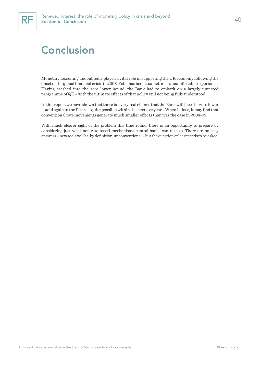<span id="page-39-0"></span>

## **Conclusion**

Monetary loosening undoubtedly played a vital role in supporting the UK economy following the onset of the global financial crisis in 2008. Yet it has been a sometimes uncomfortable experience. Having crashed into the zero lower bound, the Bank had to embark on a largely untested programme of QE – with the ultimate effects of that policy still not being fully understood.

In this report we have shown that there is a very real chance that the Bank will face the zero lower bound again in the future – quite possible within the next five years. When it does, it may find that conventional rate movements generate much smaller effects than was the case in 2008-09.

With much clearer sight of the problem this time round, there is an opportunity to prepare by considering just what non-rate based mechanisms central banks can turn to. There are no easy answers – new tools will be, by definition, unconventional – but the question at least needs to be asked.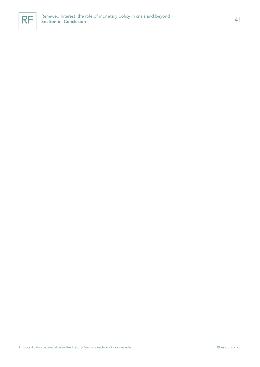